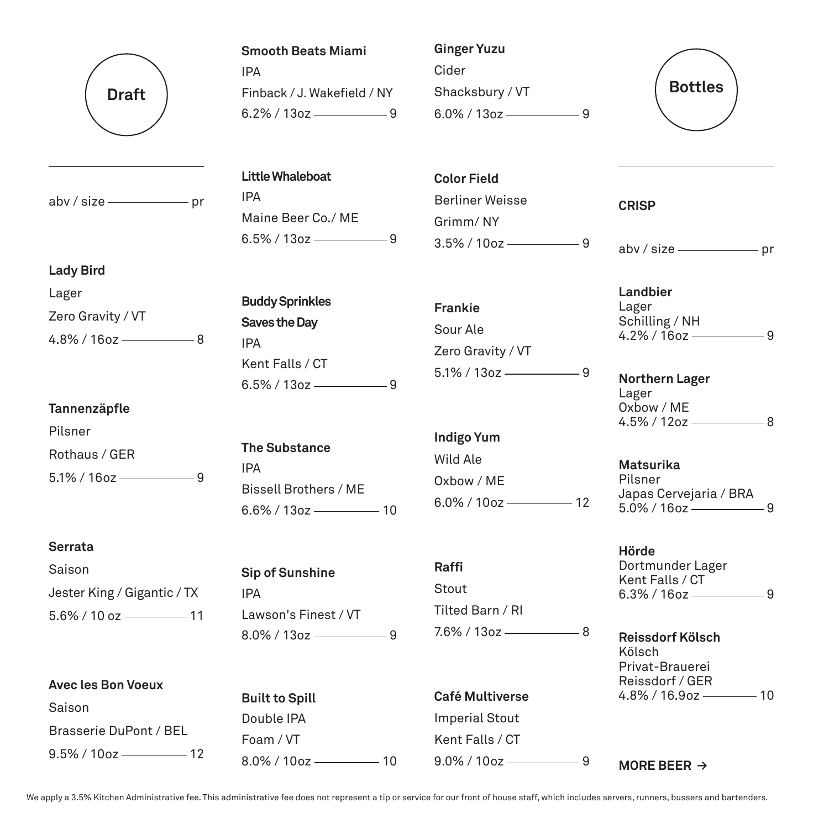

 $abv / size$  pr

#### **Smooth Beats Miami**

IPA Finback / J. Wakefield / NY  $6.2\%$  / 13oz  $\frac{\ }{9}$ 

# **Ginger Yuzu** Cider Shacksbury / VT  $6.0\%$  / 13oz —————————9



**Little Whaleboat** IPA Maine Beer Co./ ME  $6.5\%$  / 13oz  $\frac{\ }{3}$  9

#### **Lady Bird**

Lager Zero Gravity / VT  $4.8\%$  / 16oz - 8

### **Tannenzäpfle**

Pilsner Rothaus / GER  $5.1\%$  / 16oz —————————9

# **Serrata**

| Saison                         |  |
|--------------------------------|--|
| Jester King / Gigantic / TX    |  |
| $5.6\%$ / 10 oz $\frac{11}{2}$ |  |

| <b>Avec les Bon Voeux</b> |
|---------------------------|
| Saison                    |
| Brasserie DuPont / BEL    |
| $9.5\%$ / 10oz —<br>12    |

**Buddy Sprinkles Saves the Day** IPA Kent Falls / CT  $6.5\%$  / 13oz  $\frac{9}{2}$ 

**The Substance** IPA Bissell Brothers / ME  $6.6\%$  / 13oz - 10

**Sip of Sunshine** IPA Lawson's Finest / VT  $8.0\%$  / 13oz  $\frac{9}{2}$ 

**Built to Spill** Double IPA Foam / VT 8.0% / 10oz 10 **Color Field** Berliner Weisse Grimm/ NY  $3.5\%$  / 10oz ——————————9

**Frankie** Sour Ale Zero Gravity / VT  $5.1\%$  / 13oz  $\frac{1}{2}$  9

**Indigo Yum** Wild Ale Oxbow / ME  $6.0\%$  /  $10$ oz  $\frac{\ }{\ }$  12

**Raffi** Stout Tilted Barn / RI  $7.6\%$  / 13oz  $\frac{\ }{2}$  8

**Café Multiverse** Imperial Stout Kent Falls / CT  $9.0\%$  / 10oz ——————————9 **CRISP**

abv / size - pr

**Landbier** Lager Schilling / NH  $4.2\%$  / 16oz  $\frac{\ }{9}$ 

**Northern Lager** Lager Oxbow / ME  $4.5\%$  / 12oz  $\longrightarrow 8$ 

**Matsurika** Pilsner Japas Cervejaria / BRA  $5.0\%$  / 16oz  $\frac{1}{2}$ 

**Hörde** Dortmunder Lager Kent Falls / CT  $6.3\%$  / 16oz —————————9

**Reissdorf Kölsch** Kölsch Privat-Brauerei Reissdorf / GER 4.8% / 16.9oz 10

**MORE BEER ≥**

We apply a 3.5% Kitchen Administrative fee. This administrative fee does not represent a tip or service for our front of house staff, which includes servers, runners, bussers and bartenders.